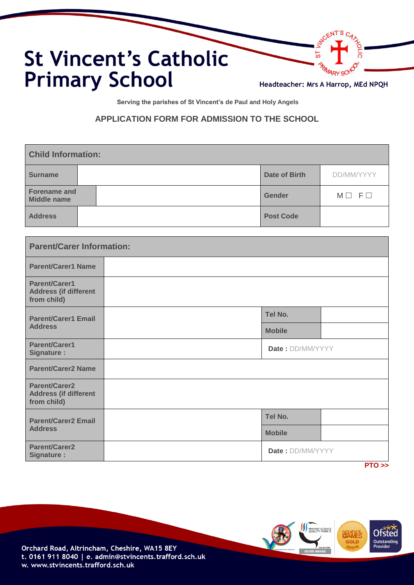

**Serving the parishes of St Vincent's de Paul and Holy Angels**

## **APPLICATION FORM FOR ADMISSION TO THE SCHOOL**

| <b>Child Information:</b>          |                      |                 |  |
|------------------------------------|----------------------|-----------------|--|
| <b>Surname</b>                     | <b>Date of Birth</b> | DD/MM/YYYY      |  |
| <b>Forename and</b><br>Middle name | Gender               | $M \Box F \Box$ |  |
| <b>Address</b>                     | <b>Post Code</b>     |                 |  |

| <b>Parent/Carer Information:</b>                                    |                  |      |
|---------------------------------------------------------------------|------------------|------|
| <b>Parent/Carer1 Name</b>                                           |                  |      |
| <b>Parent/Carer1</b><br><b>Address (if different</b><br>from child) |                  |      |
| <b>Parent/Carer1 Email</b>                                          | Tel No.          |      |
| <b>Address</b>                                                      | <b>Mobile</b>    |      |
| <b>Parent/Carer1</b><br><b>Signature:</b>                           | Date: DD/MM/YYYY |      |
| <b>Parent/Carer2 Name</b>                                           |                  |      |
| <b>Parent/Carer2</b><br><b>Address (if different</b><br>from child) |                  |      |
| <b>Parent/Carer2 Email</b><br><b>Address</b>                        | Tel No.          |      |
|                                                                     | <b>Mobile</b>    |      |
| <b>Parent/Carer2</b><br>Signature :                                 | Date: DD/MM/YYYY | DTO. |

 **PTO >>**

**Ofsted** O Proceed<br>Outstanding<br>Provider